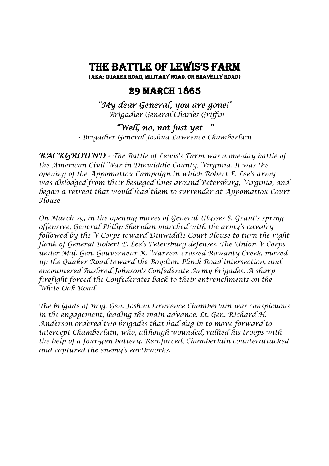### The Battle of Lewis's Farm (aka: Quaker Road, Military Road, or Gravelly Road)

## 29 March 1865

*"My dear General, you are gone!" - Brigadier General Charles Griffin*

*"Well, no, not just yet…" - Brigadier General Joshua Lawrence Chamberlain*

*BACKGROUND - The Battle of Lewis's Farm was a one-day battle of the American Civil War in Dinwiddie County, Virginia. It was the opening of the Appomattox Campaign in which Robert E. Lee's army was dislodged from their besieged lines around Petersburg, Virginia, and began a retreat that would lead them to surrender at Appomattox Court House.*

*On March 29, in the opening moves of General Ulysses S. Grant's spring offensive, General Philip Sheridan marched with the army's cavalry followed by the V Corps toward Dinwiddie Court House to turn the right flank of General Robert E. Lee's Petersburg defenses. The Union V Corps, under Maj. Gen. Gouverneur K. Warren, crossed Rowanty Creek, moved up the Quaker Road toward the Boydton Plank Road intersection, and encountered Bushrod Johnson's Confederate Army brigades. A sharp firefight forced the Confederates back to their entrenchments on the White Oak Road.*

*The brigade of Brig. Gen. Joshua Lawrence Chamberlain was conspicuous in the engagement, leading the main advance. Lt. Gen. Richard H. Anderson ordered two brigades that had dug in to move forward to intercept Chamberlain, who, although wounded, rallied his troops with the help of a four-gun battery. Reinforced, Chamberlain counterattacked and captured the enemy's earthworks.*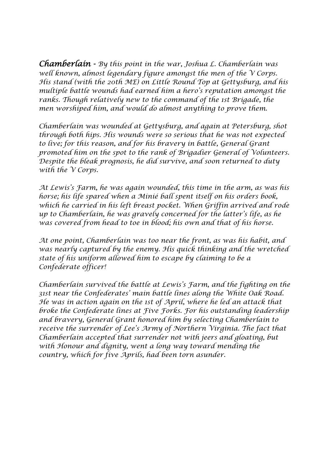*Chamberlain - By this point in the war, Joshua L. Chamberlain was well known, almost legendary figure amongst the men of the V Corps. His stand (with the 20th ME) on Little Round Top at Gettysburg, and his multiple battle wounds had earned him a hero's reputation amongst the ranks. Though relatively new to the command of the 1st Brigade, the men worshiped him, and would do almost anything to prove them.*

*Chamberlain was wounded at Gettysburg, and again at Petersburg, shot through both hips. His wounds were so serious that he was not expected to live; for this reason, and for his bravery in battle, General Grant promoted him on the spot to the rank of Brigadier General of Volunteers. Despite the bleak prognosis, he did survive, and soon returned to duty with the V Corps.*

*At Lewis's Farm, he was again wounded, this time in the arm, as was his horse; his life spared when a Minié ball spent itself on his orders book, which he carried in his left breast pocket. When Griffin arrived and rode up to Chamberlain, he was gravely concerned for the latter's life, as he was covered from head to toe in blood; his own and that of his horse.*

*At one point, Chamberlain was too near the front, as was his habit, and was nearly captured by the enemy. His quick thinking and the wretched state of his uniform allowed him to escape by claiming to be a Confederate officer!*

*Chamberlain survived the battle at Lewis's Farm, and the fighting on the 31st near the Confederates' main battle lines along the White Oak Road. He was in action again on the 1st of April, where he led an attack that broke the Confederate lines at Five Forks. For his outstanding leadership and bravery, General Grant honored him by selecting Chamberlain to receive the surrender of Lee's Army of Northern Virginia. The fact that Chamberlain accepted that surrender not with jeers and gloating, but with Honour and dignity, went a long way toward mending the country, which for five Aprils, had been torn asunder.*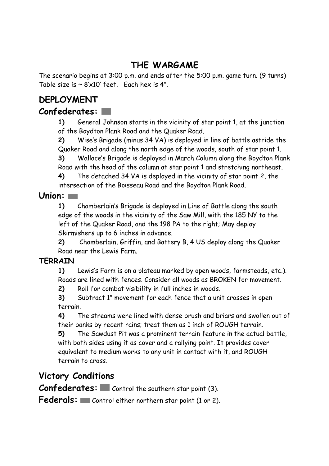# **THE WARGAME**

The scenario begins at 3:00 p.m. and ends after the 5:00 p.m. game turn. (9 turns) Table size is  $\sim 8' \times 10'$  feet. Each hex is 4".

## **DEPLOYMENT**

## **Confederates:**

**1)** General Johnson starts in the vicinity of star point 1, at the junction of the Boydton Plank Road and the Quaker Road.

**2)** Wise's Brigade (minus 34 VA) is deployed in line of battle astride the Quaker Road and along the north edge of the woods, south of star point 1.

**3)** Wallace's Brigade is deployed in March Column along the Boydton Plank Road with the head of the column at star point 1 and stretching northeast.

**4)** The detached 34 VA is deployed in the vicinity of star point 2, the intersection of the Boisseau Road and the Boydton Plank Road.

### **Union:**

**1)** Chamberlain's Brigade is deployed in Line of Battle along the south edge of the woods in the vicinity of the Saw Mill, with the 185 NY to the left of the Quaker Road, and the 198 PA to the right; May deploy Skirmishers up to 6 inches in advance.

**2)** Chamberlain, Griffin, and Battery B, 4 US deploy along the Quaker Road near the Lewis Farm.

#### **TERRAIN**

**1)** Lewis's Farm is on a plateau marked by open woods, farmsteads, etc.). Roads are lined with fences. Consider all woods as BROKEN for movement.

**2)** Roll for combat visibility in full inches in woods.

**3)** Subtract 1" movement for each fence that a unit crosses in open terrain.

**4)** The streams were lined with dense brush and briars and swollen out of their banks by recent rains; treat them as 1 inch of ROUGH terrain.

**5)** The Sawdust Pit was a prominent terrain feature in the actual battle, with both sides using it as cover and a rallying point. It provides cover equivalent to medium works to any unit in contact with it, and ROUGH terrain to cross.

## **Victory Conditions**

**Confederates:** Control the southern star point (3).

**Federals:** Control either northern star point (1 or 2).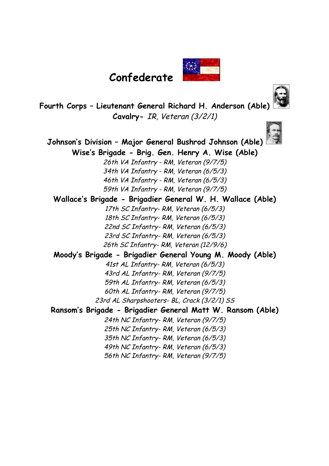



**Fourth Corps – Lieutenant General Richard H. Anderson (Able) Cavalry-** IR, Veteran (3/2/1) **Johnson's Division – Major General Bushrod Johnson (Able) Wise's Brigade - Brig. Gen. Henry A. Wise (Able)** 26th VA Infantry - RM, Veteran (9/7/5) 34th VA Infantry - RM, Veteran (6/5/3) 46th VA Infantry - RM, Veteran (6/5/3) 59th VA Infantry - RM, Veteran (9/7/5) **Wallace's Brigade - Brigadier General W. H. Wallace (Able)** 17th SC Infantry- RM, Veteran (6/5/3) 18th SC Infantry- RM, Veteran (6/5/3) 22nd SC Infantry- RM, Veteran (6/5/3) 23rd SC Infantry- RM, Veteran (6/5/3) 26th SC Infantry- RM, Veteran (12/9/6) **Moody's Brigade - Brigadier General Young M. Moody (Able)** 41st AL Infantry- RM, Veteran (6/5/3) 43rd AL Infantry- RM, Veteran (9/7/5) 59th AL Infantry- RM, Veteran (6/5/3) 60th AL Infantry- RM, Veteran (9/7/5) 23rd AL Sharpshooters- BL, Crack (3/2/1) SS **Ransom's Brigade - Brigadier General Matt W. Ransom (Able)** 24th NC Infantry- RM, Veteran (9/7/5) 25th NC Infantry- RM, Veteran (6/5/3) 35th NC Infantry- RM, Veteran (6/5/3) 49th NC Infantry- RM, Veteran (6/5/3)

56th NC Infantry- RM, Veteran (9/7/5)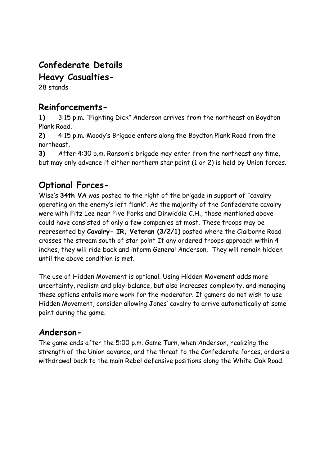## **Confederate Details**

#### **Heavy Casualties-**

28 stands

### **Reinforcements-**

**1)** 3:15 p.m. "Fighting Dick" Anderson arrives from the northeast on Boydton Plank Road.

**2)** 4:15 p.m. Moody's Brigade enters along the Boydton Plank Road from the northeast.

**3)** After 4:30 p.m. Ransom's brigade may enter from the northeast any time, but may only advance if either northern star point (1 or 2) is held by Union forces.

## **Optional Forces-**

Wise's **34th VA** was posted to the right of the brigade in support of "cavalry operating on the enemy's left flank". As the majority of the Confederate cavalry were with Fitz Lee near Five Forks and Dinwiddie C.H., those mentioned above could have consisted of only a few companies at most. These troops may be represented by **Cavalry- IR, Veteran (3/2/1)** posted where the Claiborne Road crosses the stream south of star point If any ordered troops approach within 4 inches, they will ride back and inform General Anderson. They will remain hidden until the above condition is met.

The use of Hidden Movement is optional. Using Hidden Movement adds more uncertainty, realism and play-balance, but also increases complexity, and managing these options entails more work for the moderator. If gamers do not wish to use Hidden Movement, consider allowing Jones' cavalry to arrive automatically at some point during the game.

### **Anderson-**

The game ends after the 5:00 p.m. Game Turn, when Anderson, realizing the strength of the Union advance, and the threat to the Confederate forces, orders a withdrawal back to the main Rebel defensive positions along the White Oak Road.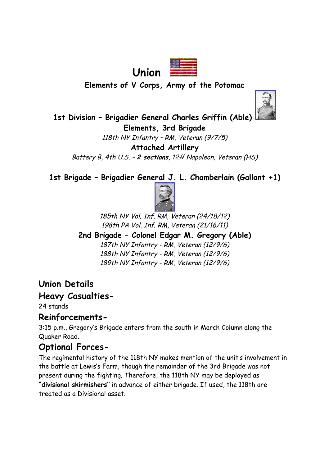

**Elements of V Corps, Army of the Potomac**



**1st Division – Brigadier General Charles Griffin (Able) Elements, 3rd Brigade**

118th NY Infantry – RM, Veteran (9/7/5)

**Attached Artillery** Battery B, 4th U.S. – **<sup>2</sup> sections**, 12# Napoleon, Veteran (HS)

**1st Brigade – Brigadier General J. L. Chamberlain (Gallant +1)**



185th NY Vol. Inf. RM, Veteran (24/18/12) 198th PA Vol. Inf. RM, Veteran (21/16/11)

**2nd Brigade – Colonel Edgar M. Gregory (Able)** 187th NY Infantry - RM, Veteran (12/9/6) 188th NY Infantry - RM, Veteran (12/9/6) 189th NY Infantry - RM, Veteran (12/9/6)

**Union Details Heavy Casualties-**

24 stands

#### **Reinforcements-**

3:15 p.m., Gregory's Brigade enters from the south in March Column along the Quaker Road.

## **Optional Forces-**

The regimental history of the 118th NY makes mention of the unit's involvement in the battle at Lewis's Farm, though the remainder of the 3rd Brigade was not present during the fighting. Therefore, the 118th NY may be deployed as **"divisional skirmishers"** in advance of either brigade. If used, the 118th are treated as a Divisional asset.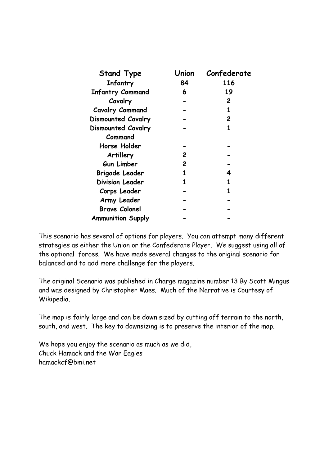| <b>Stand Type</b>         | Union | Confederate |
|---------------------------|-------|-------------|
| Infantry                  | 84    | 116         |
| <b>Infantry Command</b>   | 6     | 19          |
| Cavalry                   |       | 2           |
| <b>Cavalry Command</b>    |       | 1           |
| Dismounted Cavalry        |       | 2           |
| <b>Dismounted Cavalry</b> |       | 1           |
| Command                   |       |             |
| Horse Holder              |       |             |
| Artillery                 | 2     |             |
| <b>Gun Limber</b>         | 2     |             |
| <b>Brigade Leader</b>     | 1     | 4           |
| <b>Division Leader</b>    |       |             |
| Corps Leader              |       |             |
| Army Leader               |       |             |
| <b>Brave Colonel</b>      |       |             |
| <b>Ammunition Supply</b>  |       |             |

This scenario has several of options for players. You can attempt many different strategies as either the Union or the Confederate Player. We suggest using all of the optional forces. We have made several changes to the original scenario for balanced and to add more challenge for the players.

The original Scenario was published in Charge magazine number 13 By Scott Mingus and was designed by Christopher Maes. Much of the Narrative is Courtesy of Wikipedia.

The map is fairly large and can be down sized by cutting off terrain to the north, south, and west. The key to downsizing is to preserve the interior of the map.

We hope you enjoy the scenario as much as we did, Chuck Hamack and the War Eagles hamackcf@bmi.net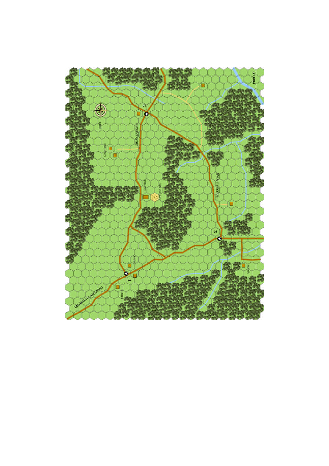